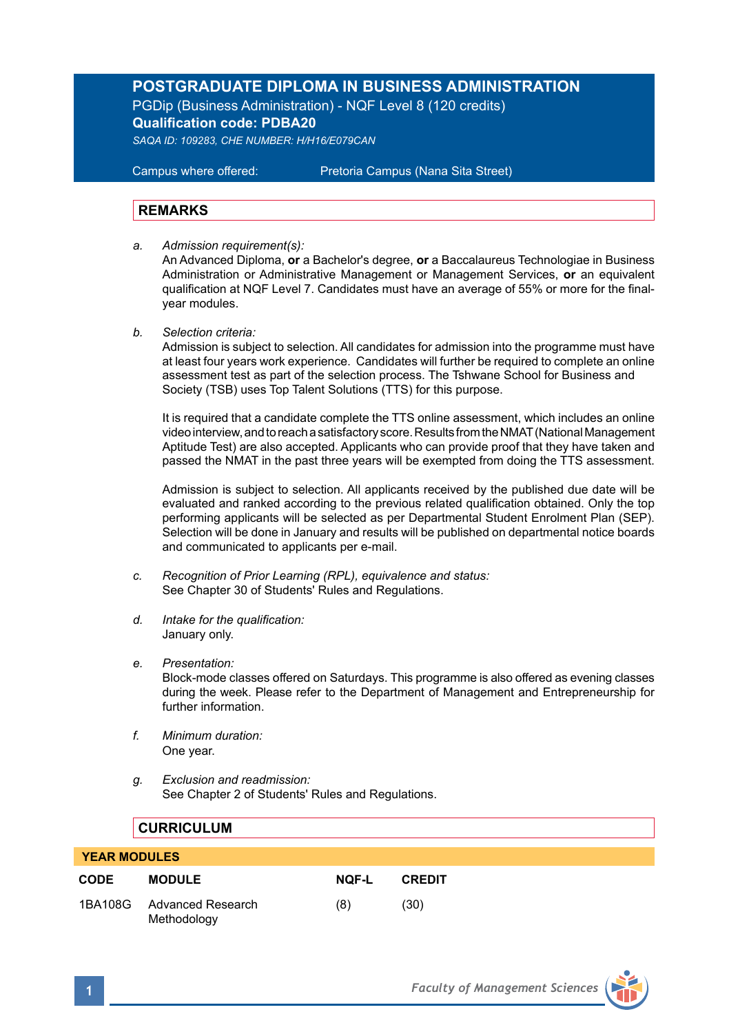# **POSTGRADUATE DIPLOMA IN BUSINESS ADMINISTRATION**

PGDip (Business Administration) - NQF Level 8 (120 credits) **Qualification code: PDBA20**

*SAQA ID: 109283, CHE NUMBER: H/H16/E079CAN* 

**Campus where offered:** 

Pretoria Campus (Nana Sita Street)

### **REMARKS**

- *a. Admission requirement(s):*  An Advanced Diploma, **or** a Bachelor's degree, **or** a Baccalaureus Technologiae in Business Administration or Administrative Management or Management Services, **or** an equivalent qualification at NQF Level 7. Candidates must have an average of 55% or more for the finalyear modules.
- *b. Selection criteria:*

 Admission is subject to selection. All candidates for admission into the programme must have at least four years work experience. Candidates will further be required to complete an online assessment test as part of the selection process. The Tshwane School for Business and Society (TSB) uses Top Talent Solutions (TTS) for this purpose.

It is required that a candidate complete the TTS online assessment, which includes an online video interview, and to reach a satisfactory score. Results from the NMAT (National Management Aptitude Test) are also accepted. Applicants who can provide proof that they have taken and passed the NMAT in the past three years will be exempted from doing the TTS assessment.

Admission is subject to selection. All applicants received by the published due date will be evaluated and ranked according to the previous related qualification obtained. Only the top performing applicants will be selected as per Departmental Student Enrolment Plan (SEP). Selection will be done in January and results will be published on departmental notice boards and communicated to applicants per e-mail.

- *c. Recognition of Prior Learning (RPL), equivalence and status:* See Chapter 30 of Students' Rules and Regulations.
- *d. Intake for the qualification:* January only.
- *e. Presentation:*

Block-mode classes offered on Saturdays. This programme is also offered as evening classes during the week. Please refer to the Department of Management and Entrepreneurship for further information.

- *f. Minimum duration:* One year.
- *g. Exclusion and readmission:* See Chapter 2 of Students' Rules and Regulations.

### **CURRICULUM**

# **YEAR MODULES**

| <b>CODE</b> | <b>MODULE</b>                            | NOF-L | <b>CREDIT</b> |
|-------------|------------------------------------------|-------|---------------|
|             | 1BA108G Advanced Research<br>Methodology | (8)   | (30)          |